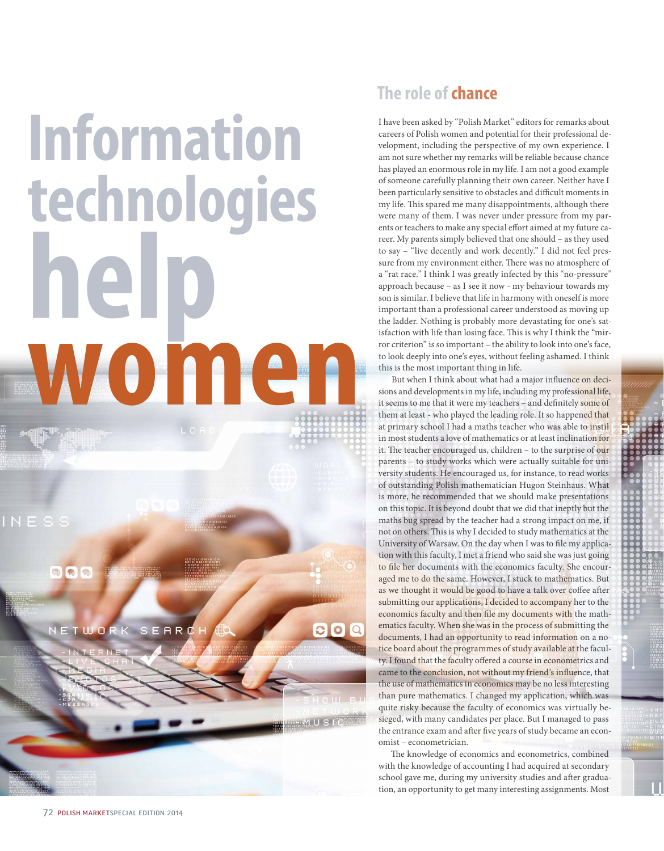## **Information technologies help women**

 $\bullet$  $\Theta$ 

WORK SEARD



I have been asked by "Polish Market" editors for remarks about careers of Polish women and potential for their professional development, including the perspective of my own experience. I am not sure whether my remarks will be reliable because chance has played an enormous role in my life. I am not a good example of someone carefully planning their own career. Neither have I been particularly sensitive to obstacles and difficult moments in my life. This spared me many disappointments, although there were many of them. I was never under pressure from my parents or teachers to make any special effort aimed at my future career. My parents simply believed that one should – as they used to say – "live decently and work decently." I did not feel pressure from my environment either. There was no atmosphere of a "rat race." I think I was greatly infected by this "no-pressure" approach because – as I see it now - my behaviour towards my son is similar. I believe that life in harmony with oneself is more important than a professional career understood as moving up the ladder. Nothing is probably more devastating for one's satisfaction with life than losing face. This is why I think the "mirror criterion" is so important – the ability to look into one's face, to look deeply into one's eyes, without feeling ashamed. I think this is the most important thing in life.

But when I think about what had a major influence on decisions and developments in my life, including my professional life, it seems to me that it were my teachers – and definitely some of them at least - who played the leading role. It so happened that at primary school I had a maths teacher who was able to instil in most students a love of mathematics or at least inclination for it. The teacher encouraged us, children – to the surprise of our parents – to study works which were actually suitable for university students. He encouraged us, for instance, to read works of outstanding Polish mathematician Hugon Steinhaus. What is more, he recommended that we should make presentations on this topic. It is beyond doubt that we did that ineptly but the maths bug spread by the teacher had a strong impact on me, if not on others. This is why I decided to study mathematics at the University of Warsaw. On the day when I was to file my application with this faculty, I met a friend who said she was just going to file her documents with the economics faculty. She encouraged me to do the same. However, I stuck to mathematics. But as we thought it would be good to have a talk over coffee after submitting our applications, I decided to accompany her to the economics faculty and then file my documents with the mathematics faculty. When she was in the process of submitting the documents, I had an opportunity to read information on a notice board about the programmes of study available at the faculty. I found that the faculty offered a course in econometrics and came to the conclusion, not without my friend's influence, that the use of mathematics in economics may be no less interesting than pure mathematics. I changed my application, which was quite risky because the faculty of economics was virtually besieged, with many candidates per place. But I managed to pass the entrance exam and after five years of study became an economist – econometrician.

The knowledge of economics and econometrics, combined with the knowledge of accounting I had acquired at secondary school gave me, during my university studies and after graduation, an opportunity to get many interesting assignments. Most